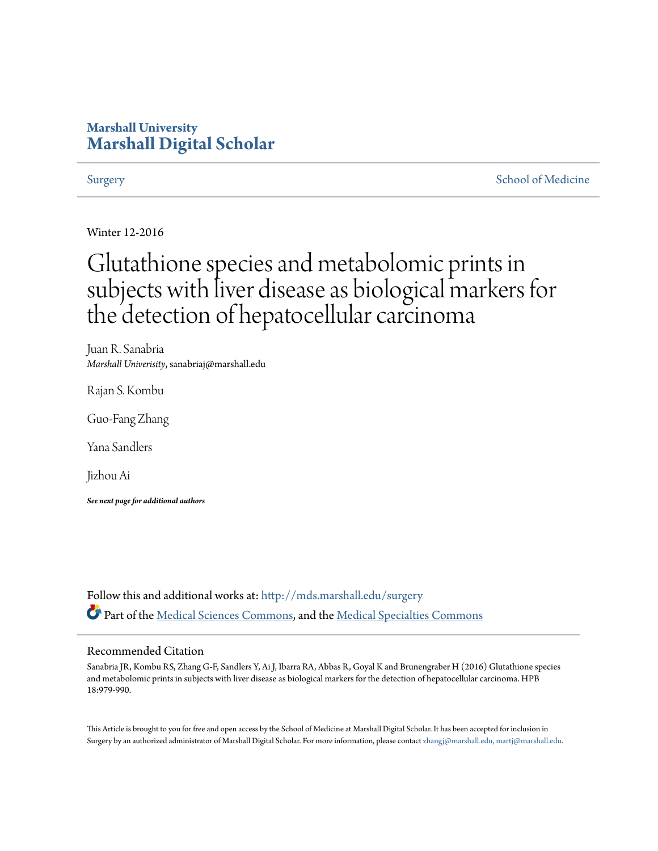## **Marshall University [Marshall Digital Scholar](http://mds.marshall.edu?utm_source=mds.marshall.edu%2Fsurgery%2F12&utm_medium=PDF&utm_campaign=PDFCoverPages)**

[Surgery](http://mds.marshall.edu/surgery?utm_source=mds.marshall.edu%2Fsurgery%2F12&utm_medium=PDF&utm_campaign=PDFCoverPages) [School of Medicine](http://mds.marshall.edu/sm?utm_source=mds.marshall.edu%2Fsurgery%2F12&utm_medium=PDF&utm_campaign=PDFCoverPages)

Winter 12-2016

# Glutathione species and metabolomic prints in subjects with liver disease as biological markers for the detection of hepatocellular carcinoma

Juan R. Sanabria *Marshall Univerisity*, sanabriaj@marshall.edu

Rajan S. Kombu

Guo-Fang Zhang

Yana Sandlers

Jizhou Ai

*See next page for additional authors*

Follow this and additional works at: [http://mds.marshall.edu/surgery](http://mds.marshall.edu/surgery?utm_source=mds.marshall.edu%2Fsurgery%2F12&utm_medium=PDF&utm_campaign=PDFCoverPages) Part of the [Medical Sciences Commons,](http://network.bepress.com/hgg/discipline/664?utm_source=mds.marshall.edu%2Fsurgery%2F12&utm_medium=PDF&utm_campaign=PDFCoverPages) and the [Medical Specialties Commons](http://network.bepress.com/hgg/discipline/680?utm_source=mds.marshall.edu%2Fsurgery%2F12&utm_medium=PDF&utm_campaign=PDFCoverPages)

### Recommended Citation

Sanabria JR, Kombu RS, Zhang G-F, Sandlers Y, Ai J, Ibarra RA, Abbas R, Goyal K and Brunengraber H (2016) Glutathione species and metabolomic prints in subjects with liver disease as biological markers for the detection of hepatocellular carcinoma. HPB 18:979-990.

This Article is brought to you for free and open access by the School of Medicine at Marshall Digital Scholar. It has been accepted for inclusion in Surgery by an authorized administrator of Marshall Digital Scholar. For more information, please contact [zhangj@marshall.edu, martj@marshall.edu.](mailto:zhangj@marshall.edu,%20martj@marshall.edu)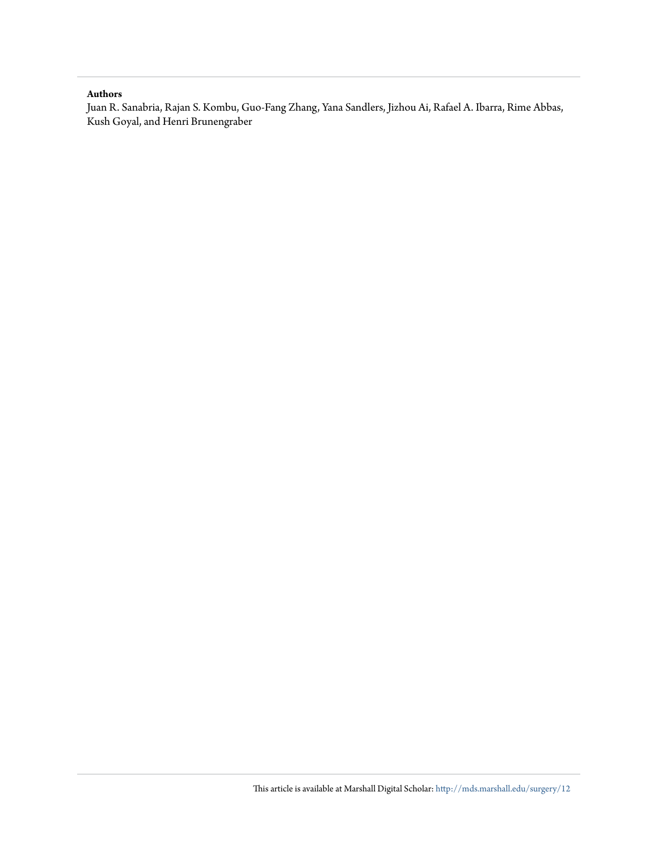#### **Authors**

Juan R. Sanabria, Rajan S. Kombu, Guo-Fang Zhang, Yana Sandlers, Jizhou Ai, Rafael A. Ibarra, Rime Abbas, Kush Goyal, and Henri Brunengraber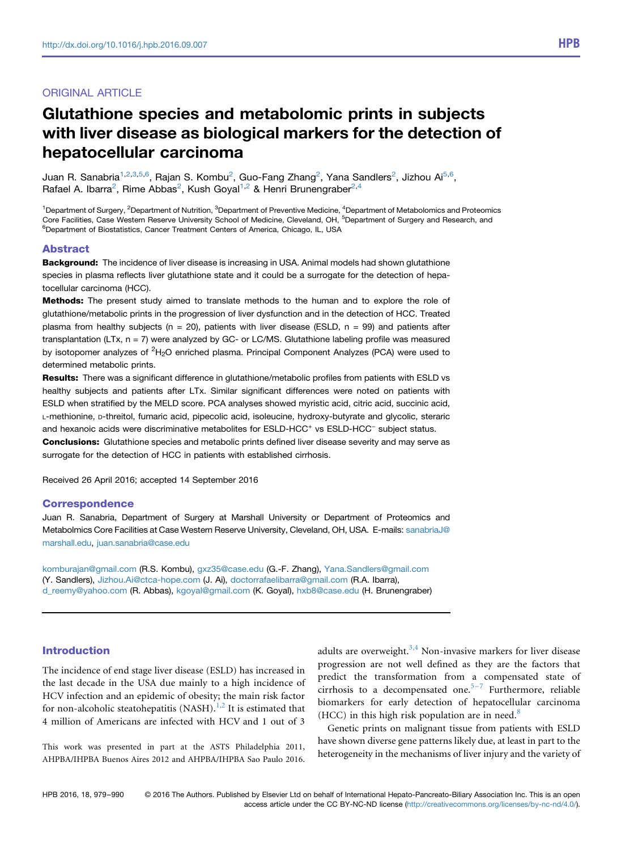#### ORIGINAL ARTICLE

# Glutathione species and metabolomic prints in subjects with liver disease as biological markers for the detection of hepatocellular carcinoma

Juan R. Sanabria $^{1,2,3,5,6}$ , Rajan S. Kombu<sup>2</sup>, Guo-Fang Zhang<sup>2</sup>, Yana Sandlers<sup>2</sup>, Jizhou Ai<sup>5,6</sup>, Rafael A. Ibarra<sup>2</sup>, Rime Abbas<sup>2</sup>, Kush Goyal<sup>1,2</sup> & Henri Brunengraber<sup>2,4</sup>

<sup>1</sup>Department of Surgery, <sup>2</sup>Department of Nutrition, <sup>3</sup>Department of Preventive Medicine, <sup>4</sup>Department of Metabolomics and Proteomics Core Facilities, Case Western Reserve University School of Medicine, Cleveland, OH, <sup>5</sup>Department of Surgery and Research, and 6 Department of Biostatistics, Cancer Treatment Centers of America, Chicago, IL, USA

#### Abstract

**Background:** The incidence of liver disease is increasing in USA. Animal models had shown glutathione species in plasma reflects liver glutathione state and it could be a surrogate for the detection of hepatocellular carcinoma (HCC).

Methods: The present study aimed to translate methods to the human and to explore the role of glutathione/metabolic prints in the progression of liver dysfunction and in the detection of HCC. Treated plasma from healthy subjects ( $n = 20$ ), patients with liver disease (ESLD,  $n = 99$ ) and patients after transplantation (LTx, n = 7) were analyzed by GC- or LC/MS. Glutathione labeling profile was measured by isotopomer analyzes of <sup>2</sup>H<sub>2</sub>O enriched plasma. Principal Component Analyzes (PCA) were used to determined metabolic prints.

Results: There was a significant difference in glutathione/metabolic profiles from patients with ESLD vs healthy subjects and patients after LTx. Similar significant differences were noted on patients with ESLD when stratified by the MELD score. PCA analyses showed myristic acid, citric acid, succinic acid, L-methionine, D-threitol, fumaric acid, pipecolic acid, isoleucine, hydroxy-butyrate and glycolic, steraric and hexanoic acids were discriminative metabolites for ESLD-HCC<sup>+</sup> vs ESLD-HCC<sup>-</sup> subject status. **Conclusions:** Glutathione species and metabolic prints defined liver disease severity and may serve as surrogate for the detection of HCC in patients with established cirrhosis.

Received 26 April 2016; accepted 14 September 2016

#### Correspondence

Juan R. Sanabria, Department of Surgery at Marshall University or Department of Proteomics and Metabolmics Core Facilities at Case Western Reserve University, Cleveland, OH, USA. E-mails: [sanabriaJ@](mailto:sanabriaJ@marshall.edu) [marshall.edu](mailto:sanabriaJ@marshall.edu), [juan.sanabria@case.edu](mailto:juan.sanabria@case.edu)

[komburajan@gmail.com](mailto:komburajan@gmail.com) (R.S. Kombu), [gxz35@case.edu](mailto:gxz35@case.edu) (G.-F. Zhang), [Yana.Sandlers@gmail.com](mailto:Yana.Sandlers@gmail.com) (Y. Sandlers), [Jizhou.Ai@ctca-hope.com](mailto:Jizhou.Ai@ctca-hope.com) (J. Ai), [doctorrafaelibarra@gmail.com](mailto:doctorrafaelibarra@gmail.com) (R.A. Ibarra), [d\\_reemy@yahoo.com](mailto:d_reemy@yahoo.com) (R. Abbas), [kgoyal@gmail.com](mailto:kgoyal@gmail.com) (K. Goyal), [hxb8@case.edu](mailto:hxb8@case.edu) (H. Brunengraber)

#### Introduction

The incidence of end stage liver disease (ESLD) has increased in the last decade in the USA due mainly to a high incidence of HCV infection and an epidemic of obesity; the main risk factor for non-alcoholic steatohepatitis  $(NASH).<sup>1,2</sup>$  $(NASH).<sup>1,2</sup>$  $(NASH).<sup>1,2</sup>$  It is estimated that 4 million of Americans are infected with HCV and 1 out of 3

AHPBA/IHPBA Buenos Aires 2012 and AHPBA/IHPBA Sao Paulo 2016.

adults are overweight. $3,4$  Non-invasive markers for liver disease progression are not well defined as they are the factors that predict the transformation from a compensated state of cirrhosis to a decompensated one.<sup>5[–](#page-12-0)7</sup> Furthermore, reliable biomarkers for early detection of hepatocellular carcinoma  $(HCC)$  in this high risk population are in need.<sup>[8](#page-12-0)</sup>

Genetic prints on malignant tissue from patients with ESLD have shown diverse gene patterns likely due, at least in part to the This work was presented in part at the ASTS Philadelphia 2011, have shown diverse gene patterns inkery due, at least in part to the variety of the mechanisms of liver injury and the variety of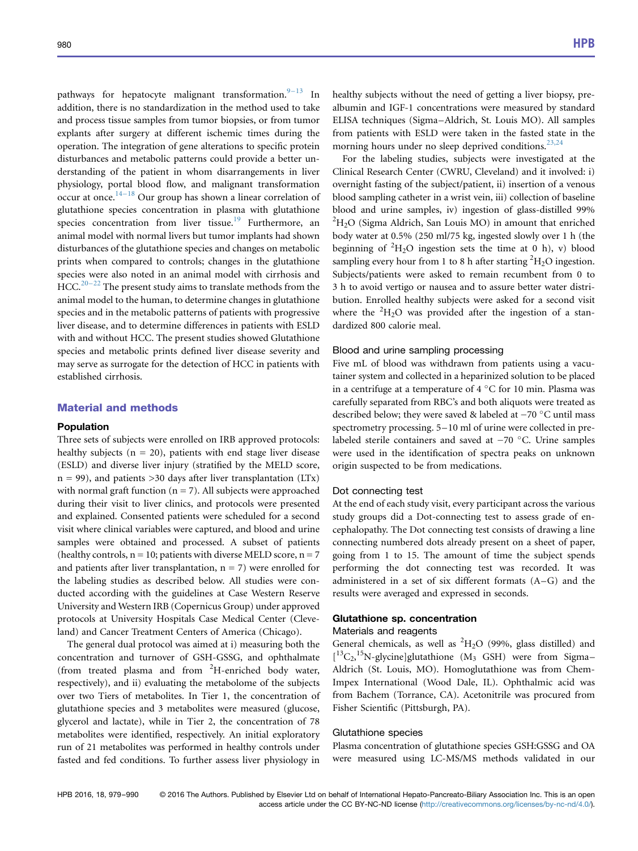pathways for hepatocyte malignant transformation.  $9-13$  $9-13$  In addition, there is no standardization in the method used to take and process tissue samples from tumor biopsies, or from tumor explants after surgery at different ischemic times during the operation. The integration of gene alterations to specific protein disturbances and metabolic patterns could provide a better understanding of the patient in whom disarrangements in liver physiology, portal blood flow, and malignant transformation occur at once.<sup>14–18</sup> Our group has shown a linear correlation of glutathione species concentration in plasma with glutathione species concentration from liver tissue.<sup>[19](#page-12-0)</sup> Furthermore, an animal model with normal livers but tumor implants had shown disturbances of the glutathione species and changes on metabolic prints when compared to controls; changes in the glutathione species were also noted in an animal model with cirrhosis and  $HCC.<sup>20-22</sup>$  $HCC.<sup>20-22</sup>$  $HCC.<sup>20-22</sup>$  The present study aims to translate methods from the animal model to the human, to determine changes in glutathione species and in the metabolic patterns of patients with progressive liver disease, and to determine differences in patients with ESLD with and without HCC. The present studies showed Glutathione species and metabolic prints defined liver disease severity and may serve as surrogate for the detection of HCC in patients with established cirrhosis.

#### Material and methods

#### Population

Three sets of subjects were enrolled on IRB approved protocols: healthy subjects ( $n = 20$ ), patients with end stage liver disease (ESLD) and diverse liver injury (stratified by the MELD score,  $n = 99$ ), and patients >30 days after liver transplantation (LTx) with normal graft function  $(n = 7)$ . All subjects were approached during their visit to liver clinics, and protocols were presented and explained. Consented patients were scheduled for a second visit where clinical variables were captured, and blood and urine samples were obtained and processed. A subset of patients (healthy controls,  $n = 10$ ; patients with diverse MELD score,  $n = 7$ and patients after liver transplantation,  $n = 7$ ) were enrolled for the labeling studies as described below. All studies were conducted according with the guidelines at Case Western Reserve University and Western IRB (Copernicus Group) under approved protocols at University Hospitals Case Medical Center (Cleveland) and Cancer Treatment Centers of America (Chicago).

The general dual protocol was aimed at i) measuring both the concentration and turnover of GSH-GSSG, and ophthalmate (from treated plasma and from <sup>2</sup>H-enriched body water, respectively), and ii) evaluating the metabolome of the subjects over two Tiers of metabolites. In Tier 1, the concentration of glutathione species and 3 metabolites were measured (glucose, glycerol and lactate), while in Tier 2, the concentration of 78 metabolites were identified, respectively. An initial exploratory run of 21 metabolites was performed in healthy controls under fasted and fed conditions. To further assess liver physiology in

healthy subjects without the need of getting a liver biopsy, prealbumin and IGF-1 concentrations were measured by standard ELISA techniques (Sigma–Aldrich, St. Louis MO). All samples from patients with ESLD were taken in the fasted state in the morning hours under no sleep deprived conditions.<sup>[23,24](#page-12-0)</sup>

For the labeling studies, subjects were investigated at the Clinical Research Center (CWRU, Cleveland) and it involved: i) overnight fasting of the subject/patient, ii) insertion of a venous blood sampling catheter in a wrist vein, iii) collection of baseline blood and urine samples, iv) ingestion of glass-distilled 99%  ${}^{2}H_{2}O$  (Sigma Aldrich, San Louis MO) in amount that enriched body water at 0.5% (250 ml/75 kg, ingested slowly over 1 h (the beginning of  ${}^{2}H_{2}O$  ingestion sets the time at 0 h), v) blood sampling every hour from 1 to 8 h after starting  ${}^{2}H_{2}O$  ingestion. Subjects/patients were asked to remain recumbent from 0 to 3 h to avoid vertigo or nausea and to assure better water distribution. Enrolled healthy subjects were asked for a second visit where the  ${}^{2}H_{2}O$  was provided after the ingestion of a standardized 800 calorie meal.

#### Blood and urine sampling processing

Five mL of blood was withdrawn from patients using a vacutainer system and collected in a heparinized solution to be placed in a centrifuge at a temperature of  $4^{\circ}$ C for 10 min. Plasma was carefully separated from RBC's and both aliquots were treated as described below; they were saved & labeled at −70 °C until mass spectrometry processing. 5–10 ml of urine were collected in prelabeled sterile containers and saved at −70 °C. Urine samples were used in the identification of spectra peaks on unknown origin suspected to be from medications.

#### Dot connecting test

At the end of each study visit, every participant across the various study groups did a Dot-connecting test to assess grade of encephalopathy. The Dot connecting test consists of drawing a line connecting numbered dots already present on a sheet of paper, going from 1 to 15. The amount of time the subject spends performing the dot connecting test was recorded. It was administered in a set of six different formats (A–G) and the results were averaged and expressed in seconds.

#### Glutathione sp. concentration Materials and reagents

General chemicals, as well as  ${}^{2}H_{2}O$  (99%, glass distilled) and [<sup>13</sup>C<sub>2</sub>,<sup>15</sup>N-glycine]glutathione (M<sub>3</sub> GSH) were from Sigma-Aldrich (St. Louis, MO). Homoglutathione was from Chem-Impex International (Wood Dale, IL). Ophthalmic acid was from Bachem (Torrance, CA). Acetonitrile was procured from Fisher Scientific (Pittsburgh, PA).

#### Glutathione species

Plasma concentration of glutathione species GSH:GSSG and OA were measured using LC-MS/MS methods validated in our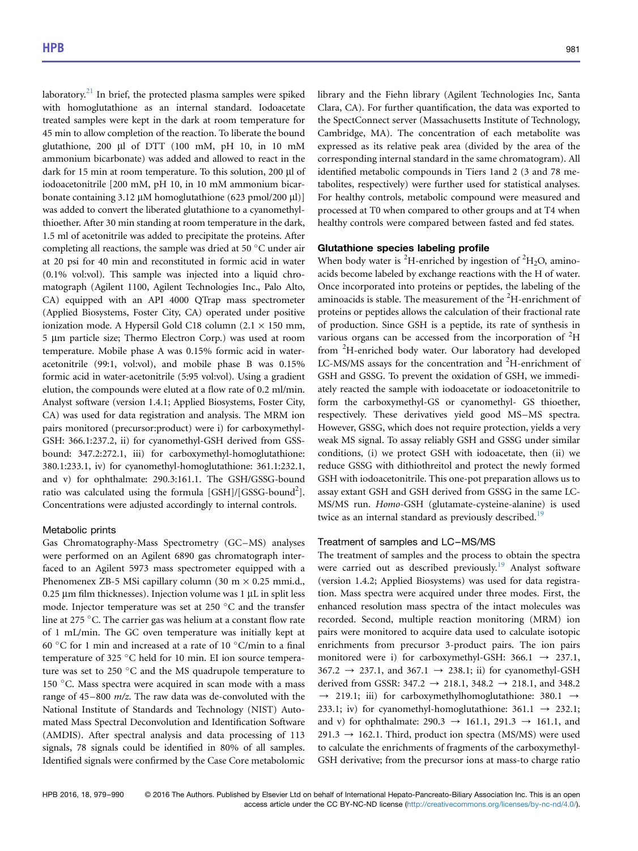laboratory.<sup>21</sup> In brief, the protected plasma samples were spiked with homoglutathione as an internal standard. Iodoacetate treated samples were kept in the dark at room temperature for 45 min to allow completion of the reaction. To liberate the bound glutathione,  $200 \mu l$  of DTT (100 mM, pH 10, in 10 mM ammonium bicarbonate) was added and allowed to react in the dark for 15 min at room temperature. To this solution, 200  $\mu$ l of iodoacetonitrile [200 mM, pH 10, in 10 mM ammonium bicarbonate containing  $3.12 \mu M$  homoglutathione (623 pmol/200  $\mu$ l)] was added to convert the liberated glutathione to a cyanomethylthioether. After 30 min standing at room temperature in the dark, 1.5 ml of acetonitrile was added to precipitate the proteins. After completing all reactions, the sample was dried at 50 $\degree$ C under air at 20 psi for 40 min and reconstituted in formic acid in water (0.1% vol:vol). This sample was injected into a liquid chromatograph (Agilent 1100, Agilent Technologies Inc., Palo Alto, CA) equipped with an API 4000 QTrap mass spectrometer (Applied Biosystems, Foster City, CA) operated under positive ionization mode. A Hypersil Gold C18 column  $(2.1 \times 150 \text{ mm})$ , 5 µm particle size; Thermo Electron Corp.) was used at room temperature. Mobile phase A was 0.15% formic acid in wateracetonitrile (99:1, vol:vol), and mobile phase B was 0.15% formic acid in water-acetonitrile (5:95 vol:vol). Using a gradient elution, the compounds were eluted at a flow rate of 0.2 ml/min. Analyst software (version 1.4.1; Applied Biosystems, Foster City, CA) was used for data registration and analysis. The MRM ion pairs monitored (precursor:product) were i) for carboxymethyl-GSH: 366.1:237.2, ii) for cyanomethyl-GSH derived from GSSbound: 347.2:272.1, iii) for carboxymethyl-homoglutathione: 380.1:233.1, iv) for cyanomethyl-homoglutathione: 361.1:232.1, and v) for ophthalmate: 290.3:161.1. The GSH/GSSG-bound ratio was calculated using the formula  $[GSH]/[GSSG-bound^2]$ . Concentrations were adjusted accordingly to internal controls.

#### Metabolic prints

Gas Chromatography-Mass Spectrometry (GC–MS) analyses were performed on an Agilent 6890 gas chromatograph interfaced to an Agilent 5973 mass spectrometer equipped with a Phenomenex ZB-5 MSi capillary column (30 m  $\times$  0.25 mmi.d.,  $0.25 \mu m$  film thicknesses). Injection volume was 1  $\mu$ L in split less mode. Injector temperature was set at 250  $^{\circ}$ C and the transfer line at 275  $\degree$ C. The carrier gas was helium at a constant flow rate of 1 mL/min. The GC oven temperature was initially kept at 60 °C for 1 min and increased at a rate of 10 °C/min to a final temperature of 325  $\degree$ C held for 10 min. EI ion source temperature was set to 250  $^{\circ}$ C and the MS quadrupole temperature to 150  $\degree$ C. Mass spectra were acquired in scan mode with a mass range of  $45-800$  *m/z*. The raw data was de-convoluted with the National Institute of Standards and Technology (NIST) Automated Mass Spectral Deconvolution and Identification Software (AMDIS). After spectral analysis and data processing of 113 signals, 78 signals could be identified in 80% of all samples. Identified signals were confirmed by the Case Core metabolomic library and the Fiehn library (Agilent Technologies Inc, Santa Clara, CA). For further quantification, the data was exported to the SpectConnect server (Massachusetts Institute of Technology, Cambridge, MA). The concentration of each metabolite was expressed as its relative peak area (divided by the area of the corresponding internal standard in the same chromatogram). All identified metabolic compounds in Tiers 1and 2 (3 and 78 metabolites, respectively) were further used for statistical analyses. For healthy controls, metabolic compound were measured and processed at T0 when compared to other groups and at T4 when healthy controls were compared between fasted and fed states.

#### Glutathione species labeling profile

When body water is <sup>2</sup>H-enriched by ingestion of <sup>2</sup>H<sub>2</sub>O, aminoacids become labeled by exchange reactions with the H of water. Once incorporated into proteins or peptides, the labeling of the aminoacids is stable. The measurement of the  ${}^{2}$ H-enrichment of proteins or peptides allows the calculation of their fractional rate of production. Since GSH is a peptide, its rate of synthesis in various organs can be accessed from the incorporation of  ${}^{2}H$ from <sup>2</sup>H-enriched body water. Our laboratory had developed LC-MS/MS assays for the concentration and <sup>2</sup>H-enrichment of GSH and GSSG. To prevent the oxidation of GSH, we immediately reacted the sample with iodoacetate or iodoacetonitrile to form the carboxymethyl-GS or cyanomethyl- GS thioether, respectively. These derivatives yield good MS–MS spectra. However, GSSG, which does not require protection, yields a very weak MS signal. To assay reliably GSH and GSSG under similar conditions, (i) we protect GSH with iodoacetate, then (ii) we reduce GSSG with dithiothreitol and protect the newly formed GSH with iodoacetonitrile. This one-pot preparation allows us to assay extant GSH and GSH derived from GSSG in the same LC-MS/MS run. Homo-GSH (glutamate-cysteine-alanine) is used twice as an internal standard as previously described.<sup>[19](#page-12-0)</sup>

#### Treatment of samples and LC–MS/MS

The treatment of samples and the process to obtain the spectra were carried out as described previously.<sup>[19](#page-12-0)</sup> Analyst software (version 1.4.2; Applied Biosystems) was used for data registration. Mass spectra were acquired under three modes. First, the enhanced resolution mass spectra of the intact molecules was recorded. Second, multiple reaction monitoring (MRM) ion pairs were monitored to acquire data used to calculate isotopic enrichments from precursor 3-product pairs. The ion pairs monitored were i) for carboxymethyl-GSH:  $366.1 \rightarrow 237.1$ , 367.2  $\rightarrow$  237.1, and 367.1  $\rightarrow$  238.1; ii) for cyanomethyl-GSH derived from GSSR: 347.2  $\rightarrow$  218.1, 348.2  $\rightarrow$  218.1, and 348.2  $\rightarrow$  219.1; iii) for carboxymethylhomoglutathione: 380.1  $\rightarrow$ 233.1; iv) for cyanomethyl-homoglutathione:  $361.1 \rightarrow 232.1$ ; and v) for ophthalmate:  $290.3 \rightarrow 161.1, 291.3 \rightarrow 161.1,$  and  $291.3 \rightarrow 162.1$ . Third, product ion spectra (MS/MS) were used to calculate the enrichments of fragments of the carboxymethyl-GSH derivative; from the precursor ions at mass-to charge ratio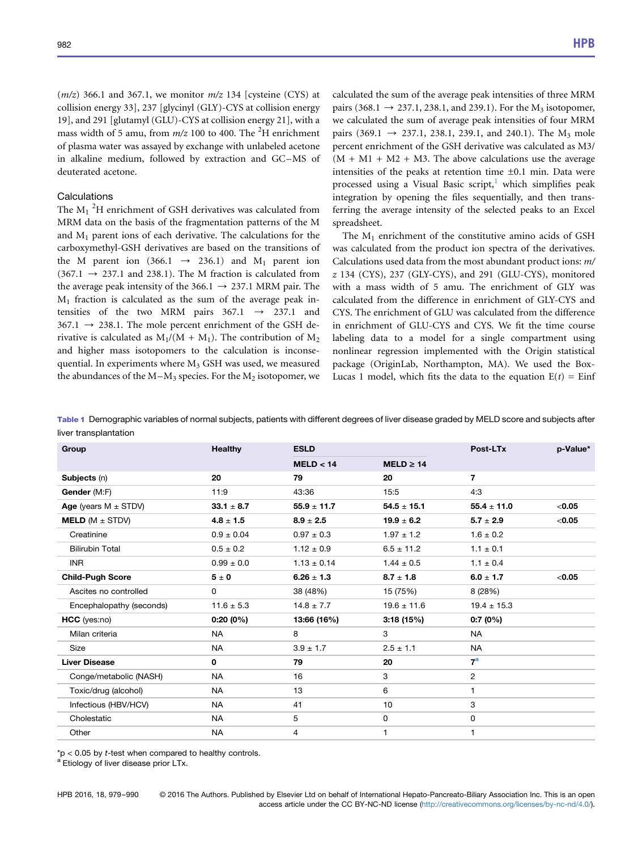$(m/z)$  366.1 and 367.1, we monitor  $m/z$  134 [cysteine (CYS) at collision energy 33], 237 [glycinyl (GLY)-CYS at collision energy 19], and 291 [glutamyl (GLU)-CYS at collision energy 21], with a mass width of 5 amu, from  $m/z$  100 to 400. The <sup>2</sup>H enrichment of plasma water was assayed by exchange with unlabeled acetone in alkaline medium, followed by extraction and GC–MS of deuterated acetone.

#### **Calculations**

The  $M_1$  <sup>2</sup>H enrichment of GSH derivatives was calculated from MRM data on the basis of the fragmentation patterns of the M and  $M_1$  parent ions of each derivative. The calculations for the carboxymethyl-GSH derivatives are based on the transitions of the M parent ion (366.1  $\rightarrow$  236.1) and M<sub>1</sub> parent ion  $(367.1 \rightarrow 237.1$  and 238.1). The M fraction is calculated from the average peak intensity of the 366.1  $\rightarrow$  237.1 MRM pair. The  $M_1$  fraction is calculated as the sum of the average peak intensities of the two MRM pairs  $367.1 \rightarrow 237.1$  and  $367.1 \rightarrow 238.1$ . The mole percent enrichment of the GSH derivative is calculated as  $M_1/(M + M_1)$ . The contribution of  $M_2$ and higher mass isotopomers to the calculation is inconsequential. In experiments where M<sub>3</sub> GSH was used, we measured the abundances of the  $M-M_3$  species. For the  $M_2$  isotopomer, we

calculated the sum of the average peak intensities of three MRM pairs (368.1  $\rightarrow$  237.1, 238.1, and 239.1). For the M<sub>3</sub> isotopomer, we calculated the sum of average peak intensities of four MRM pairs (369.1  $\rightarrow$  237.1, 238.1, 239.1, and 240.1). The M<sub>3</sub> mole percent enrichment of the GSH derivative was calculated as M3/  $(M + M1 + M2 + M3)$ . The above calculations use the average intensities of the peaks at retention time  $\pm 0.1$  min. Data were processed using a Visual Basic script, $\frac{1}{1}$  $\frac{1}{1}$  $\frac{1}{1}$  which simplifies peak integration by opening the files sequentially, and then transferring the average intensity of the selected peaks to an Excel spreadsheet.

The  $M_1$  enrichment of the constitutive amino acids of GSH was calculated from the product ion spectra of the derivatives. Calculations used data from the most abundant product ions: m/ z 134 (CYS), 237 (GLY-CYS), and 291 (GLU-CYS), monitored with a mass width of 5 amu. The enrichment of GLY was calculated from the difference in enrichment of GLY-CYS and CYS. The enrichment of GLU was calculated from the difference in enrichment of GLU-CYS and CYS. We fit the time course labeling data to a model for a single compartment using nonlinear regression implemented with the Origin statistical package (OriginLab, Northampton, MA). We used the Box-Lucas 1 model, which fits the data to the equation  $E(t) = E\text{inf}$ 

Table 1 Demographic variables of normal subjects, patients with different degrees of liver disease graded by MELD score and subjects after liver transplantation

| Group                        | <b>Healthy</b> | <b>ESLD</b>     |                 | Post-LTx        | p-Value* |
|------------------------------|----------------|-----------------|-----------------|-----------------|----------|
|                              |                | MELD < 14       | $MELD \geq 14$  |                 |          |
| Subjects (n)                 | 20             | 79              | 20              | $\overline{7}$  |          |
| Gender (M:F)                 | 11:9           | 43:36           | 15:5            | 4:3             |          |
| Age (years $M \pm STDV$ )    | $33.1 \pm 8.7$ | $55.9 \pm 11.7$ | $54.5 \pm 15.1$ | $55.4 \pm 11.0$ | < 0.05   |
| <b>MELD</b> ( $M \pm STDV$ ) | $4.8 \pm 1.5$  | $8.9 \pm 2.5$   | $19.9 \pm 6.2$  | $5.7 \pm 2.9$   | < 0.05   |
| Creatinine                   | $0.9 \pm 0.04$ | $0.97 \pm 0.3$  | $1.97 \pm 1.2$  | $1.6 \pm 0.2$   |          |
| <b>Bilirubin Total</b>       | $0.5 \pm 0.2$  | $1.12 \pm 0.9$  | $6.5 \pm 11.2$  | $1.1 \pm 0.1$   |          |
| <b>INR</b>                   | $0.99 \pm 0.0$ | $1.13 \pm 0.14$ | $1.44 \pm 0.5$  | $1.1 \pm 0.4$   |          |
| <b>Child-Pugh Score</b>      | $5\pm0$        | $6.26 \pm 1.3$  | $8.7 \pm 1.8$   | $6.0 \pm 1.7$   | < 0.05   |
| Ascites no controlled        | 0              | 38 (48%)        | 15 (75%)        | 8 (28%)         |          |
| Encephalopathy (seconds)     | $11.6 \pm 5.3$ | $14.8 \pm 7.7$  | $19.6 \pm 11.6$ | $19.4 \pm 15.3$ |          |
| HCC (yes:no)                 | $0:20(0\%)$    | 13:66 (16%)     | 3:18 (15%)      | 0:7(0%)         |          |
| Milan criteria               | <b>NA</b>      | 8               | 3               | <b>NA</b>       |          |
| Size                         | <b>NA</b>      | $3.9 \pm 1.7$   | $2.5 \pm 1.1$   | <b>NA</b>       |          |
| <b>Liver Disease</b>         | $\mathbf 0$    | 79              | 20              | 7 <sup>a</sup>  |          |
| Conge/metabolic (NASH)       | <b>NA</b>      | 16              | 3               | $\overline{2}$  |          |
| Toxic/drug (alcohol)         | <b>NA</b>      | 13              | 6               | 1               |          |
| Infectious (HBV/HCV)         | <b>NA</b>      | 41              | 10              | 3               |          |
| Cholestatic                  | <b>NA</b>      | 5               | 0               | 0               |          |
| Other                        | <b>NA</b>      | 4               | 1               | 1               |          |

 $*p < 0.05$  by *t*-test when compared to healthy controls.<br><sup>a</sup> Etiology of liver disease prior LTx.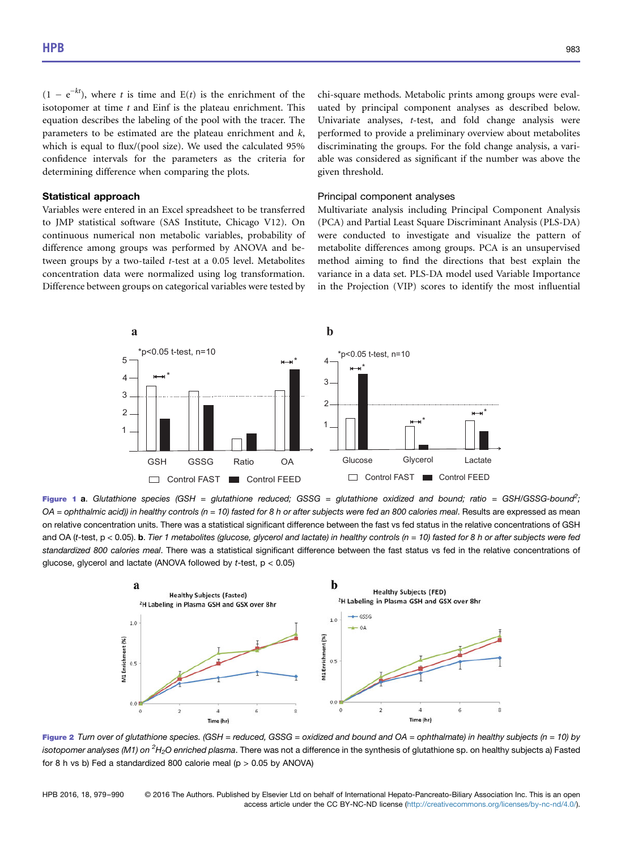$(1 - e^{-kt})$ , where t is time and E(t) is the enrichment of the isotopomer at time  $t$  and Einf is the plateau enrichment. This equation describes the labeling of the pool with the tracer. The parameters to be estimated are the plateau enrichment and k, which is equal to flux/(pool size). We used the calculated 95% confidence intervals for the parameters as the criteria for determining difference when comparing the plots.

#### Statistical approach

Variables were entered in an Excel spreadsheet to be transferred to JMP statistical software (SAS Institute, Chicago V12). On continuous numerical non metabolic variables, probability of difference among groups was performed by ANOVA and between groups by a two-tailed t-test at a 0.05 level. Metabolites concentration data were normalized using log transformation. Difference between groups on categorical variables were tested by chi-square methods. Metabolic prints among groups were evaluated by principal component analyses as described below. Univariate analyses, t-test, and fold change analysis were performed to provide a preliminary overview about metabolites discriminating the groups. For the fold change analysis, a variable was considered as significant if the number was above the given threshold.

#### Principal component analyses

Multivariate analysis including Principal Component Analysis (PCA) and Partial Least Square Discriminant Analysis (PLS-DA) were conducted to investigate and visualize the pattern of metabolite differences among groups. PCA is an unsupervised method aiming to find the directions that best explain the variance in a data set. PLS-DA model used Variable Importance in the Projection (VIP) scores to identify the most influential



Figure 1 a. Glutathione species (GSH = glutathione reduced; GSSG = glutathione oxidized and bound; ratio = GSH/GSSG-bound<sup>2</sup>;  $OA =$  ophthalmic acid)) in healthy controls (n = 10) fasted for 8 h or after subjects were fed an 800 calories meal. Results are expressed as mean on relative concentration units. There was a statistical significant difference between the fast vs fed status in the relative concentrations of GSH and OA (t-test, p < 0.05). b. Tier 1 metabolites (glucose, glycerol and lactate) in healthy controls (n = 10) fasted for 8 h or after subjects were fed standardized 800 calories meal. There was a statistical significant difference between the fast status vs fed in the relative concentrations of glucose, glycerol and lactate (ANOVA followed by  $t$ -test,  $p < 0.05$ )



Figure 2 Turn over of glutathione species. (GSH = reduced, GSSG = oxidized and bound and OA = ophthalmate) in healthy subjects ( $n = 10$ ) by *isotopomer analyses (M1) on <sup>2</sup>H<sub>2</sub>O enriched plasma.* There was not a difference in the synthesis of glutathione sp. on healthy subjects a) Fasted for 8 h vs b) Fed a standardized 800 calorie meal ( $p > 0.05$  by ANOVA)

HPB 2016, 18, 979–990 © 2016 The Authors. Published by Elsevier Ltd on behalf of International Hepato-Pancreato-Biliary Association Inc. This is an open access article under the CC BY-NC-ND license [\(http://creativecommons.org/licenses/by-nc-nd/4.0/](http://creativecommons.org/licenses/by-nc-nd/4.0/)).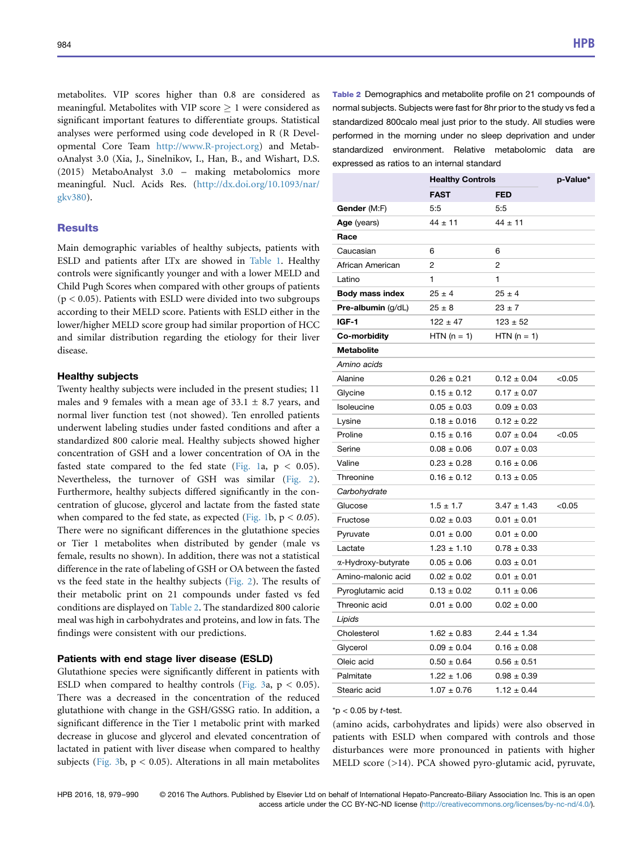metabolites. VIP scores higher than 0.8 are considered as meaningful. Metabolites with VIP score  $\geq 1$  were considered as significant important features to differentiate groups. Statistical analyses were performed using code developed in R (R Developmental Core Team [http://www.R-project.org\)](http://www.r-project.org/) and MetaboAnalyst 3.0 (Xia, J., Sinelnikov, I., Han, B., and Wishart, D.S. (2015) MetaboAnalyst 3.0 – making metabolomics more meaningful. Nucl. Acids Res. ([http://dx.doi.org/10.1093/nar/](http://dx.doi.org/10.1093/nar/gkv380) [gkv380\)](http://dx.doi.org/10.1093/nar/gkv380).

#### **Results**

Main demographic variables of healthy subjects, patients with ESLD and patients after LTx are showed in Table 1. Healthy controls were significantly younger and with a lower MELD and Child Pugh Scores when compared with other groups of patients  $(p < 0.05)$ . Patients with ESLD were divided into two subgroups according to their MELD score. Patients with ESLD either in the lower/higher MELD score group had similar proportion of HCC and similar distribution regarding the etiology for their liver disease.

#### Healthy subjects

Twenty healthy subjects were included in the present studies; 11 males and 9 females with a mean age of  $33.1 \pm 8.7$  years, and normal liver function test (not showed). Ten enrolled patients underwent labeling studies under fasted conditions and after a standardized 800 calorie meal. Healthy subjects showed higher concentration of GSH and a lower concentration of OA in the fasted state compared to the fed state (Fig. 1a,  $p < 0.05$ ). Nevertheless, the turnover of GSH was similar (Fig. 2). Furthermore, healthy subjects differed significantly in the concentration of glucose, glycerol and lactate from the fasted state when compared to the fed state, as expected (Fig. 1b,  $p < 0.05$ ). There were no significant differences in the glutathione species or Tier 1 metabolites when distributed by gender (male vs female, results no shown). In addition, there was not a statistical difference in the rate of labeling of GSH or OA between the fasted vs the feed state in the healthy subjects (Fig. 2). The results of their metabolic print on 21 compounds under fasted vs fed conditions are displayed on Table 2. The standardized 800 calorie meal was high in carbohydrates and proteins, and low in fats. The findings were consistent with our predictions.

#### Patients with end stage liver disease (ESLD)

Glutathione species were significantly different in patients with ESLD when compared to healthy controls (Fig. 3a,  $p < 0.05$ ). There was a decreased in the concentration of the reduced glutathione with change in the GSH/GSSG ratio. In addition, a significant difference in the Tier 1 metabolic print with marked decrease in glucose and glycerol and elevated concentration of lactated in patient with liver disease when compared to healthy subjects (Fig. 3b,  $p < 0.05$ ). Alterations in all main metabolites

<sup>984</sup> HPB

Table 2 Demographics and metabolite profile on 21 compounds of normal subjects. Subjects were fast for 8hr prior to the study vs fed a standardized 800calo meal just prior to the study. All studies were performed in the morning under no sleep deprivation and under standardized environment. Relative metabolomic data are expressed as ratios to an internal standard

|                    | <b>Healthy Controls</b> |                   | p-Value* |  |
|--------------------|-------------------------|-------------------|----------|--|
|                    | <b>FAST</b>             | <b>FED</b>        |          |  |
| Gender (M:F)       | 5:5                     | 5:5               |          |  |
| Age (years)        | $44 \pm 11$             | $44 \pm 11$       |          |  |
| Race               |                         |                   |          |  |
| Caucasian          | 6                       | 6                 |          |  |
| African American   | 2                       | 2                 |          |  |
| Latino             | 1                       | 1                 |          |  |
| Body mass index    | $25 \pm 4$              | $25 \pm 4$        |          |  |
| Pre-albumin (g/dL) | $25 \pm 8$              | $23 \pm 7$        |          |  |
| IGF-1              | $122 \pm 47$            | $123 \pm 52$      |          |  |
| Co-morbidity       | HTN $(n = 1)$           | HTN $(n = 1)$     |          |  |
| Metabolite         |                         |                   |          |  |
| Amino acids        |                         |                   |          |  |
| Alanine            | $0.26 \pm 0.21$         | $0.12 \pm 0.04$   | < 0.05   |  |
| Glycine            | $0.15 \pm 0.12$         | $0.17 \pm 0.07$   |          |  |
| Isoleucine         | $0.05 \pm 0.03$         | $0.09 \pm 0.03$   |          |  |
| Lysine             | $0.18 \pm 0.016$        | $0.12 \pm 0.22$   |          |  |
| Proline            | $0.15 \pm 0.16$         | $0.07 \pm 0.04$   | < 0.05   |  |
| Serine             | $0.08 \pm 0.06$         | $0.07 \pm 0.03$   |          |  |
| Valine             | $0.23 \pm 0.28$         | $0.16 \pm 0.06$   |          |  |
| Threonine          | $0.16 \pm 0.12$         | $0.13 \pm 0.05$   |          |  |
| Carbohydrate       |                         |                   |          |  |
| Glucose            | $1.5 \pm 1.7$           | $3.47 \pm 1.43$   | < 0.05   |  |
| Fructose           | $0.02 \pm 0.03$         | $0.01 \pm 0.01$   |          |  |
| Pyruvate           | $0.01 \pm 0.00$         | $0.01 \pm 0.00$   |          |  |
| Lactate            | $1.23 \pm 1.10$         | $0.78 \pm 0.33$   |          |  |
| α-Hydroxy-butyrate | $0.05\pm0.06$           | $0.03 \pm 0.01$   |          |  |
| Amino-malonic acid | $0.02 \pm 0.02$         | $0.01 \pm 0.01$   |          |  |
| Pyroglutamic acid  | $0.13 \pm 0.02$         | $0.11 \pm 0.06$   |          |  |
| Threonic acid      | $0.01 \pm 0.00$         | $0.02\,\pm\,0.00$ |          |  |
| Lipids             |                         |                   |          |  |
| Cholesterol        | $1.62 \pm 0.83$         | $2.44 \pm 1.34$   |          |  |
| Glycerol           | $0.09 \pm 0.04$         | $0.16 \pm 0.08$   |          |  |
| Oleic acid         | $0.50 \pm 0.64$         | $0.56 \pm 0.51$   |          |  |
| Palmitate          | $1.22 \pm 1.06$         | $0.98 \pm 0.39$   |          |  |
| Stearic acid       | $1.07 \pm 0.76$         | $1.12 \pm 0.44$   |          |  |

#### $*$ p < 0.05 by t-test.

(amino acids, carbohydrates and lipids) were also observed in patients with ESLD when compared with controls and those disturbances were more pronounced in patients with higher MELD score (>14). PCA showed pyro-glutamic acid, pyruvate,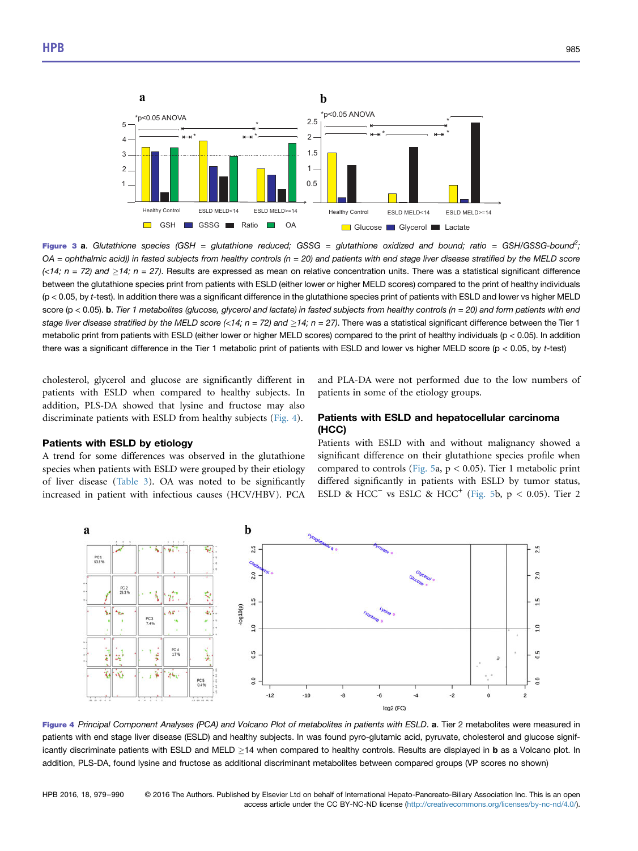

Figure 3 a. Glutathione species (GSH = glutathione reduced; GSSG = glutathione oxidized and bound; ratio = GSH/GSSG-bound<sup>2</sup>;  $OA =$  ophthalmic acid)) in fasted subjects from healthy controls ( $n = 20$ ) and patients with end stage liver disease stratified by the MELD score  $\langle$ <14; n = 72) and >14; n = 27). Results are expressed as mean on relative concentration units. There was a statistical significant difference between the glutathione species print from patients with ESLD (either lower or higher MELD scores) compared to the print of healthy individuals (p < 0.05, by t-test). In addition there was a significant difference in the glutathione species print of patients with ESLD and lower vs higher MELD score (p < 0.05). **b.** Tier 1 metabolites (glucose, glycerol and lactate) in fasted subjects from healthy controls (n = 20) and form patients with end stage liver disease stratified by the MELD score  $\langle 14; n = 72 \rangle$  and  $> 14; n = 27$ ). There was a statistical significant difference between the Tier 1 metabolic print from patients with ESLD (either lower or higher MELD scores) compared to the print of healthy individuals (p < 0.05). In addition there was a significant difference in the Tier 1 metabolic print of patients with ESLD and lower vs higher MELD score (p < 0.05, by t-test)

cholesterol, glycerol and glucose are significantly different in patients with ESLD when compared to healthy subjects. In addition, PLS-DA showed that lysine and fructose may also discriminate patients with ESLD from healthy subjects (Fig. 4).

#### Patients with ESLD by etiology

A trend for some differences was observed in the glutathione species when patients with ESLD were grouped by their etiology of liver disease (Table 3). OA was noted to be significantly increased in patient with infectious causes (HCV/HBV). PCA and PLA-DA were not performed due to the low numbers of patients in some of the etiology groups.

#### Patients with ESLD and hepatocellular carcinoma (HCC)

Patients with ESLD with and without malignancy showed a significant difference on their glutathione species profile when compared to controls (Fig. 5a,  $p < 0.05$ ). Tier 1 metabolic print differed significantly in patients with ESLD by tumor status, ESLD & HCC<sup>-</sup> vs ESLC & HCC<sup>+</sup> (Fig. 5b, p < 0.05). Tier 2



Figure 4 Principal Component Analyses (PCA) and Volcano Plot of metabolites in patients with ESLD. a. Tier 2 metabolites were measured in patients with end stage liver disease (ESLD) and healthy subjects. In was found pyro-glutamic acid, pyruvate, cholesterol and glucose significantly discriminate patients with ESLD and MELD >14 when compared to healthy controls. Results are displayed in b as a Volcano plot. In addition, PLS-DA, found lysine and fructose as additional discriminant metabolites between compared groups (VP scores no shown)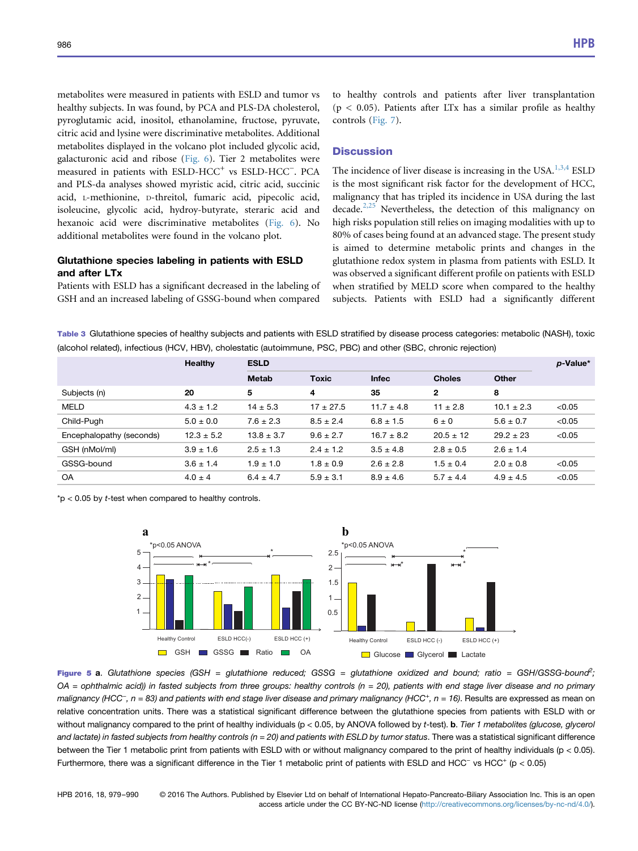metabolites were measured in patients with ESLD and tumor vs healthy subjects. In was found, by PCA and PLS-DA cholesterol, pyroglutamic acid, inositol, ethanolamine, fructose, pyruvate, citric acid and lysine were discriminative metabolites. Additional metabolites displayed in the volcano plot included glycolic acid, galacturonic acid and ribose ([Fig. 6](#page-10-0)). Tier 2 metabolites were measured in patients with ESLD-HCC<sup>+</sup> vs ESLD-HCC<sup>−</sup>. PCA and PLS-da analyses showed myristic acid, citric acid, succinic acid, L-methionine, D-threitol, fumaric acid, pipecolic acid, isoleucine, glycolic acid, hydroy-butyrate, steraric acid and hexanoic acid were discriminative metabolites ([Fig. 6](#page-10-0)). No additional metabolites were found in the volcano plot.

#### Glutathione species labeling in patients with ESLD and after LTx

Patients with ESLD has a significant decreased in the labeling of GSH and an increased labeling of GSSG-bound when compared

to healthy controls and patients after liver transplantation  $(p < 0.05)$ . Patients after LTx has a similar profile as healthy controls ([Fig. 7](#page-11-0)).

#### **Discussion**

The incidence of liver disease is increasing in the USA.<sup>[1,3,4](#page-12-0)</sup> ESLD is the most significant risk factor for the development of HCC, malignancy that has tripled its incidence in USA during the last decade.<sup>[2,25](#page-12-0)</sup> Nevertheless, the detection of this malignancy on high risks population still relies on imaging modalities with up to 80% of cases being found at an advanced stage. The present study is aimed to determine metabolic prints and changes in the glutathione redox system in plasma from patients with ESLD. It was observed a significant different profile on patients with ESLD when stratified by MELD score when compared to the healthy subjects. Patients with ESLD had a significantly different

Table 3 Glutathione species of healthy subjects and patients with ESLD stratified by disease process categories: metabolic (NASH), toxic (alcohol related), infectious (HCV, HBV), cholestatic (autoimmune, PSC, PBC) and other (SBC, chronic rejection)

|                          | <b>Healthy</b> | <b>ESLD</b>    |               |                |               |                |        |
|--------------------------|----------------|----------------|---------------|----------------|---------------|----------------|--------|
|                          |                | <b>Metab</b>   | <b>Toxic</b>  | <b>Infec</b>   | <b>Choles</b> | <b>Other</b>   |        |
| Subjects (n)             | 20             | 5              | 4             | 35             | $\mathbf{2}$  | 8              |        |
| MELD                     | $4.3 \pm 1.2$  | $14 \pm 5.3$   | $17 + 27.5$   | $11.7 \pm 4.8$ | $11 \pm 2.8$  | $10.1 \pm 2.3$ | < 0.05 |
| Child-Pugh               | $5.0 \pm 0.0$  | $7.6 \pm 2.3$  | $8.5 \pm 2.4$ | $6.8 \pm 1.5$  | $6 \pm 0$     | $5.6 \pm 0.7$  | < 0.05 |
| Encephalopathy (seconds) | $12.3 \pm 5.2$ | $13.8 \pm 3.7$ | $9.6 \pm 2.7$ | $16.7 \pm 8.2$ | $20.5 \pm 12$ | $29.2 \pm 23$  | < 0.05 |
| GSH (nMol/ml)            | $3.9 \pm 1.6$  | $2.5 \pm 1.3$  | $2.4 \pm 1.2$ | $3.5 \pm 4.8$  | $2.8 \pm 0.5$ | $2.6 \pm 1.4$  |        |
| GSSG-bound               | $3.6 \pm 1.4$  | $1.9 \pm 1.0$  | $1.8 \pm 0.9$ | $2.6 \pm 2.8$  | $1.5 \pm 0.4$ | $2.0 \pm 0.8$  | < 0.05 |
| <b>OA</b>                | $4.0 \pm 4$    | $6.4 \pm 4.7$  | $5.9 \pm 3.1$ | $8.9 \pm 4.6$  | $5.7 \pm 4.4$ | $4.9 \pm 4.5$  | < 0.05 |

 $*p < 0.05$  by t-test when compared to healthy controls.



Figure 5 a. Glutathione species (GSH = glutathione reduced; GSSG = glutathione oxidized and bound; ratio = GSH/GSSG-bound<sup>2</sup>;  $OA =$  ophthalmic acid)) in fasted subjects from three groups: healthy controls ( $n = 20$ ), patients with end stage liver disease and no primary malignancy (HCC<sup>-</sup>, n = 83) and patients with end stage liver disease and primary malignancy (HCC<sup>+</sup>, n = 16). Results are expressed as mean on relative concentration units. There was a statistical significant difference between the glutathione species from patients with ESLD with or without malignancy compared to the print of healthy individuals (p < 0.05, by ANOVA followed by t-test). b. Tier 1 metabolites (glucose, glycerol and lactate) in fasted subjects from healthy controls ( $n = 20$ ) and patients with ESLD by tumor status. There was a statistical significant difference between the Tier 1 metabolic print from patients with ESLD with or without malignancy compared to the print of healthy individuals (p < 0.05). Furthermore, there was a significant difference in the Tier 1 metabolic print of patients with ESLD and HCC<sup>−</sup> vs HCC+ (p < 0.05)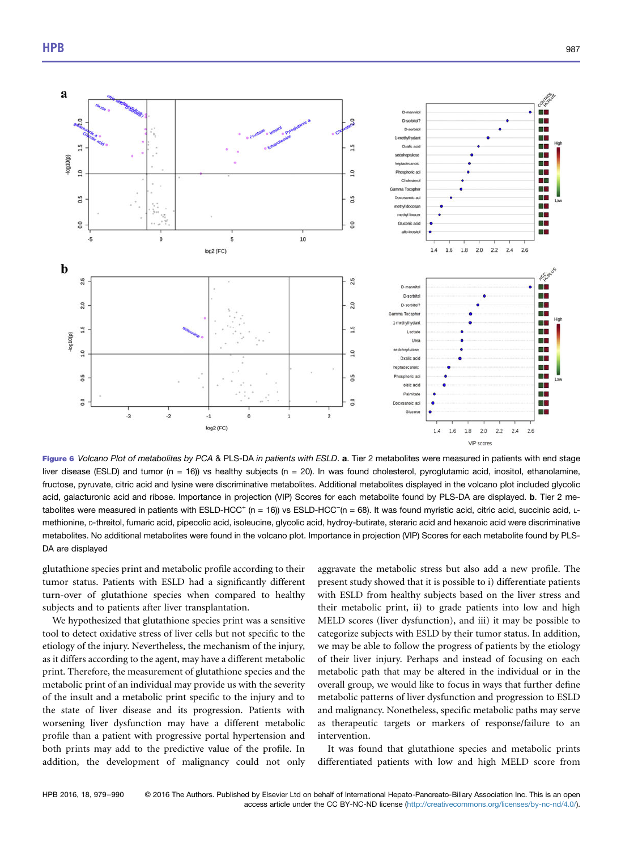<span id="page-10-0"></span>

Figure 6 Volcano Plot of metabolites by PCA & PLS-DA in patients with ESLD. a. Tier 2 metabolites were measured in patients with end stage liver disease (ESLD) and tumor (n = 16)) vs healthy subjects (n = 20). In was found cholesterol, pyroglutamic acid, inositol, ethanolamine, fructose, pyruvate, citric acid and lysine were discriminative metabolites. Additional metabolites displayed in the volcano plot included glycolic acid, galacturonic acid and ribose. Importance in projection (VIP) Scores for each metabolite found by PLS-DA are displayed. **b**. Tier 2 metabolites were measured in patients with ESLD-HCC<sup>+</sup> (n = 16)) vs ESLD-HCC<sup>−</sup>(n = 68). It was found myristic acid, citric acid, succinic acid, Lmethionine, D-threitol, fumaric acid, pipecolic acid, isoleucine, glycolic acid, hydroy-butirate, steraric acid and hexanoic acid were discriminative metabolites. No additional metabolites were found in the volcano plot. Importance in projection (VIP) Scores for each metabolite found by PLS-DA are displayed

glutathione species print and metabolic profile according to their tumor status. Patients with ESLD had a significantly different turn-over of glutathione species when compared to healthy subjects and to patients after liver transplantation.

We hypothesized that glutathione species print was a sensitive tool to detect oxidative stress of liver cells but not specific to the etiology of the injury. Nevertheless, the mechanism of the injury, as it differs according to the agent, may have a different metabolic print. Therefore, the measurement of glutathione species and the metabolic print of an individual may provide us with the severity of the insult and a metabolic print specific to the injury and to the state of liver disease and its progression. Patients with worsening liver dysfunction may have a different metabolic profile than a patient with progressive portal hypertension and both prints may add to the predictive value of the profile. In addition, the development of malignancy could not only

aggravate the metabolic stress but also add a new profile. The present study showed that it is possible to i) differentiate patients with ESLD from healthy subjects based on the liver stress and their metabolic print, ii) to grade patients into low and high MELD scores (liver dysfunction), and iii) it may be possible to categorize subjects with ESLD by their tumor status. In addition, we may be able to follow the progress of patients by the etiology of their liver injury. Perhaps and instead of focusing on each metabolic path that may be altered in the individual or in the overall group, we would like to focus in ways that further define metabolic patterns of liver dysfunction and progression to ESLD and malignancy. Nonetheless, specific metabolic paths may serve as therapeutic targets or markers of response/failure to an intervention.

It was found that glutathione species and metabolic prints differentiated patients with low and high MELD score from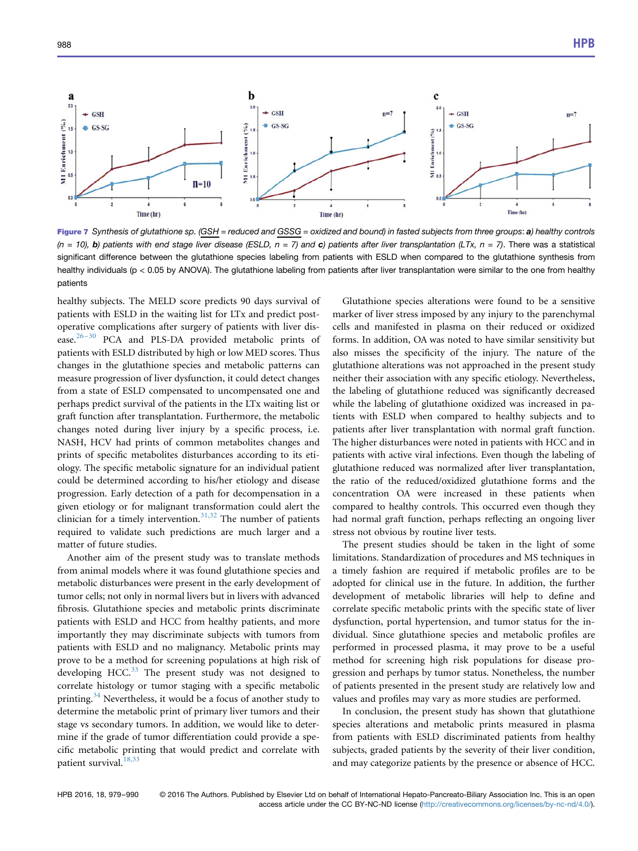<span id="page-11-0"></span>

Figure 7 Synthesis of glutathione sp. (GSH = reduced and GSSG = oxidized and bound) in fasted subjects from three groups: a) healthy controls  $(n = 10)$ , b) patients with end stage liver disease (ESLD,  $n = 7$ ) and c) patients after liver transplantation (LTx,  $n = 7$ ). There was a statistical significant difference between the glutathione species labeling from patients with ESLD when compared to the glutathione synthesis from healthy individuals (p < 0.05 by ANOVA). The glutathione labeling from patients after liver transplantation were similar to the one from healthy patients

healthy subjects. The MELD score predicts 90 days survival of patients with ESLD in the waiting list for LTx and predict postoperative complications after surgery of patients with liver dis-ease.<sup>[26](#page-12-0)–30</sup> PCA and PLS-DA provided metabolic prints of patients with ESLD distributed by high or low MED scores. Thus changes in the glutathione species and metabolic patterns can measure progression of liver dysfunction, it could detect changes from a state of ESLD compensated to uncompensated one and perhaps predict survival of the patients in the LTx waiting list or graft function after transplantation. Furthermore, the metabolic changes noted during liver injury by a specific process, i.e. NASH, HCV had prints of common metabolites changes and prints of specific metabolites disturbances according to its etiology. The specific metabolic signature for an individual patient could be determined according to his/her etiology and disease progression. Early detection of a path for decompensation in a given etiology or for malignant transformation could alert the clinician for a timely intervention.<sup>[31,32](#page-12-0)</sup> The number of patients required to validate such predictions are much larger and a matter of future studies.

Another aim of the present study was to translate methods from animal models where it was found glutathione species and metabolic disturbances were present in the early development of tumor cells; not only in normal livers but in livers with advanced fibrosis. Glutathione species and metabolic prints discriminate patients with ESLD and HCC from healthy patients, and more importantly they may discriminate subjects with tumors from patients with ESLD and no malignancy. Metabolic prints may prove to be a method for screening populations at high risk of developing HCC. $33$  The present study was not designed to correlate histology or tumor staging with a specific metabolic printing. $34$  Nevertheless, it would be a focus of another study to determine the metabolic print of primary liver tumors and their stage vs secondary tumors. In addition, we would like to determine if the grade of tumor differentiation could provide a specific metabolic printing that would predict and correlate with patient survival.<sup>[18,33](#page-12-0)</sup>

Glutathione species alterations were found to be a sensitive marker of liver stress imposed by any injury to the parenchymal cells and manifested in plasma on their reduced or oxidized forms. In addition, OA was noted to have similar sensitivity but also misses the specificity of the injury. The nature of the glutathione alterations was not approached in the present study neither their association with any specific etiology. Nevertheless, the labeling of glutathione reduced was significantly decreased while the labeling of glutathione oxidized was increased in patients with ESLD when compared to healthy subjects and to patients after liver transplantation with normal graft function. The higher disturbances were noted in patients with HCC and in patients with active viral infections. Even though the labeling of glutathione reduced was normalized after liver transplantation, the ratio of the reduced/oxidized glutathione forms and the concentration OA were increased in these patients when compared to healthy controls. This occurred even though they had normal graft function, perhaps reflecting an ongoing liver stress not obvious by routine liver tests.

The present studies should be taken in the light of some limitations. Standardization of procedures and MS techniques in a timely fashion are required if metabolic profiles are to be adopted for clinical use in the future. In addition, the further development of metabolic libraries will help to define and correlate specific metabolic prints with the specific state of liver dysfunction, portal hypertension, and tumor status for the individual. Since glutathione species and metabolic profiles are performed in processed plasma, it may prove to be a useful method for screening high risk populations for disease progression and perhaps by tumor status. Nonetheless, the number of patients presented in the present study are relatively low and values and profiles may vary as more studies are performed.

In conclusion, the present study has shown that glutathione species alterations and metabolic prints measured in plasma from patients with ESLD discriminated patients from healthy subjects, graded patients by the severity of their liver condition, and may categorize patients by the presence or absence of HCC.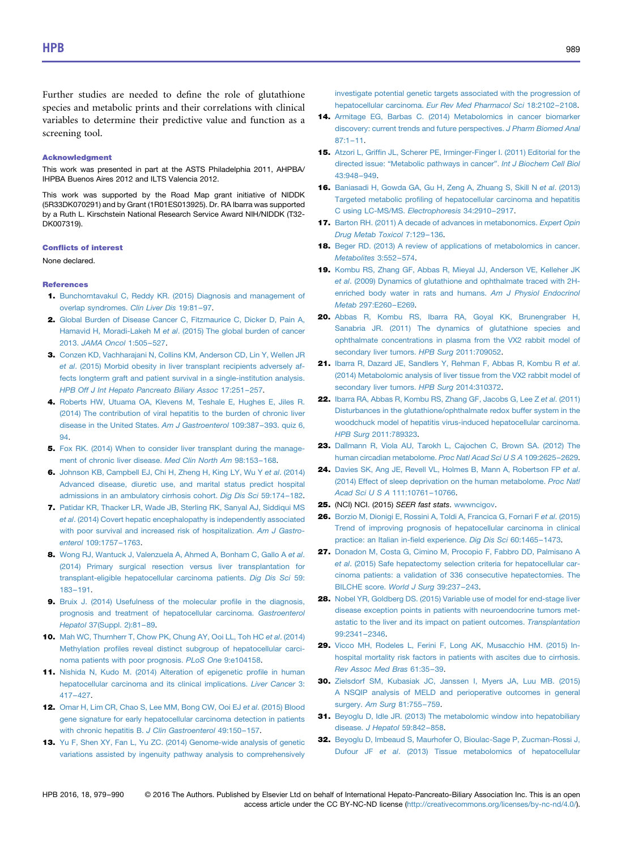<span id="page-12-0"></span>Further studies are needed to define the role of glutathione species and metabolic prints and their correlations with clinical variables to determine their predictive value and function as a screening tool.

#### Acknowledgment

This work was presented in part at the ASTS Philadelphia 2011, AHPBA/ IHPBA Buenos Aires 2012 and ILTS Valencia 2012.

This work was supported by the Road Map grant initiative of NIDDK (5R33DK070291) and by Grant (1R01ES013925). Dr. RA Ibarra was supported by a Ruth L. Kirschstein National Research Service Award NIH/NIDDK (T32- DK007319).

#### Conflicts of interest

None declared.

#### References

- 1. [Bunchorntavakul C, Reddy KR. \(2015\) Diagnosis and management of](http://refhub.elsevier.com/S1365-182X(16)31898-6/sref1) [overlap syndromes.](http://refhub.elsevier.com/S1365-182X(16)31898-6/sref1) Clin Liver Dis 19:81–97.
- 2. [Global Burden of Disease Cancer C, Fitzmaurice C, Dicker D, Pain A,](http://refhub.elsevier.com/S1365-182X(16)31898-6/sref2) Hamavid H, Moradi-Lakeh M et al[. \(2015\) The global burden of cancer](http://refhub.elsevier.com/S1365-182X(16)31898-6/sref2) 2013. [JAMA Oncol](http://refhub.elsevier.com/S1365-182X(16)31898-6/sref2) 1:505–527.
- 3. [Conzen KD, Vachharajani N, Collins KM, Anderson CD, Lin Y, Wellen JR](http://refhub.elsevier.com/S1365-182X(16)31898-6/sref3) et al[. \(2015\) Morbid obesity in liver transplant recipients adversely af](http://refhub.elsevier.com/S1365-182X(16)31898-6/sref3)[fects longterm graft and patient survival in a single-institution analysis.](http://refhub.elsevier.com/S1365-182X(16)31898-6/sref3) [HPB Off J Int Hepato Pancreato Biliary Assoc](http://refhub.elsevier.com/S1365-182X(16)31898-6/sref3) 17:251–257.
- 4. [Roberts HW, Utuama OA, Klevens M, Teshale E, Hughes E, Jiles R.](http://refhub.elsevier.com/S1365-182X(16)31898-6/sref4) [\(2014\) The contribution of viral hepatitis to the burden of chronic liver](http://refhub.elsevier.com/S1365-182X(16)31898-6/sref4) [disease in the United States.](http://refhub.elsevier.com/S1365-182X(16)31898-6/sref4) Am J Gastroenterol 109:387–393. quiz 6, [94.](http://refhub.elsevier.com/S1365-182X(16)31898-6/sref4)
- 5. [Fox RK. \(2014\) When to consider liver transplant during the manage](http://refhub.elsevier.com/S1365-182X(16)31898-6/sref5)[ment of chronic liver disease.](http://refhub.elsevier.com/S1365-182X(16)31898-6/sref5) Med Clin North Am 98:153–168.
- 6. [Johnson KB, Campbell EJ, Chi H, Zheng H, King LY, Wu Y](http://refhub.elsevier.com/S1365-182X(16)31898-6/sref6) et al. (2014) [Advanced disease, diuretic use, and marital status predict hospital](http://refhub.elsevier.com/S1365-182X(16)31898-6/sref6) [admissions in an ambulatory cirrhosis cohort.](http://refhub.elsevier.com/S1365-182X(16)31898-6/sref6) Dig Dis Sci 59:174–182.
- 7. [Patidar KR, Thacker LR, Wade JB, Sterling RK, Sanyal AJ, Siddiqui MS](http://refhub.elsevier.com/S1365-182X(16)31898-6/sref7) et al[. \(2014\) Covert hepatic encephalopathy is independently associated](http://refhub.elsevier.com/S1365-182X(16)31898-6/sref7) [with poor survival and increased risk of hospitalization.](http://refhub.elsevier.com/S1365-182X(16)31898-6/sref7) Am J Gastroenterol [109:1757](http://refhub.elsevier.com/S1365-182X(16)31898-6/sref7)–1763.
- 8. [Wong RJ, Wantuck J, Valenzuela A, Ahmed A, Bonham C, Gallo A](http://refhub.elsevier.com/S1365-182X(16)31898-6/sref8) et al. [\(2014\) Primary surgical resection versus liver transplantation for](http://refhub.elsevier.com/S1365-182X(16)31898-6/sref8) [transplant-eligible hepatocellular carcinoma patients.](http://refhub.elsevier.com/S1365-182X(16)31898-6/sref8) Dig Dis Sci 59: 183–[191.](http://refhub.elsevier.com/S1365-182X(16)31898-6/sref8)
- 9. [Bruix J. \(2014\) Usefulness of the molecular pro](http://refhub.elsevier.com/S1365-182X(16)31898-6/sref9)file in the diagnosis, [prognosis and treatment of hepatocellular carcinoma.](http://refhub.elsevier.com/S1365-182X(16)31898-6/sref9) Gastroenterol Hepatol [37\(Suppl. 2\):81](http://refhub.elsevier.com/S1365-182X(16)31898-6/sref9)–89.
- 10. Mah [WC, Thurnherr T, Chow PK, Chung AY, Ooi LL, Toh HC](http://refhub.elsevier.com/S1365-182X(16)31898-6/sref10) et al. (2014) Methylation profi[les reveal distinct subgroup of hepatocellular carci](http://refhub.elsevier.com/S1365-182X(16)31898-6/sref10)[noma patients with poor prognosis.](http://refhub.elsevier.com/S1365-182X(16)31898-6/sref10) PLoS One 9:e104158.
- 11. [Nishida N, Kudo M. \(2014\) Alteration of epigenetic pro](http://refhub.elsevier.com/S1365-182X(16)31898-6/sref11)file in human [hepatocellular carcinoma and its clinical implications.](http://refhub.elsevier.com/S1365-182X(16)31898-6/sref11) Liver Cancer 3: 417–[427.](http://refhub.elsevier.com/S1365-182X(16)31898-6/sref11)
- 12. [Omar H, Lim CR, Chao S, Lee MM, Bong CW, Ooi EJ](http://refhub.elsevier.com/S1365-182X(16)31898-6/sref12) et al. (2015) Blood [gene signature for early hepatocellular carcinoma detection in patients](http://refhub.elsevier.com/S1365-182X(16)31898-6/sref12) [with chronic hepatitis B.](http://refhub.elsevier.com/S1365-182X(16)31898-6/sref12) J Clin Gastroenterol 49:150–157.
- 13. [Yu F, Shen XY, Fan L, Yu ZC. \(2014\) Genome-wide analysis of genetic](http://refhub.elsevier.com/S1365-182X(16)31898-6/sref13) [variations assisted by ingenuity pathway analysis to comprehensively](http://refhub.elsevier.com/S1365-182X(16)31898-6/sref13)

[investigate potential genetic targets associated with the progression of](http://refhub.elsevier.com/S1365-182X(16)31898-6/sref13) hepatocellular carcinoma. [Eur Rev Med Pharmacol Sci](http://refhub.elsevier.com/S1365-182X(16)31898-6/sref13) 18:2102–2108.

- 14. [Armitage EG, Barbas C. \(2014\) Metabolomics in cancer biomarker](http://refhub.elsevier.com/S1365-182X(16)31898-6/sref14) [discovery: current trends and future perspectives.](http://refhub.elsevier.com/S1365-182X(16)31898-6/sref14) J Pharm Biomed Anal [87:1](http://refhub.elsevier.com/S1365-182X(16)31898-6/sref14)–11.
- 15. Atzori L, Griffi[n JL, Scherer PE, Irminger-Finger I. \(2011\) Editorial for the](http://refhub.elsevier.com/S1365-182X(16)31898-6/sref15) directed issue: "[Metabolic pathways in cancer](http://refhub.elsevier.com/S1365-182X(16)31898-6/sref15)". Int J Biochem Cell Biol [43:948](http://refhub.elsevier.com/S1365-182X(16)31898-6/sref15)–949.
- 16. [Baniasadi H, Gowda GA, Gu H, Zeng A, Zhuang S, Skill N](http://refhub.elsevier.com/S1365-182X(16)31898-6/sref16) et al. (2013) Targeted metabolic profi[ling of hepatocellular carcinoma and hepatitis](http://refhub.elsevier.com/S1365-182X(16)31898-6/sref16) [C using LC-MS/MS.](http://refhub.elsevier.com/S1365-182X(16)31898-6/sref16) Electrophoresis 34:2910–2917.
- 17. [Barton RH. \(2011\) A decade of advances in metabonomics.](http://refhub.elsevier.com/S1365-182X(16)31898-6/sref17) Expert Opin [Drug Metab Toxicol](http://refhub.elsevier.com/S1365-182X(16)31898-6/sref17) 7:129–136.
- 18. [Beger RD. \(2013\) A review of applications of metabolomics in cancer.](http://refhub.elsevier.com/S1365-182X(16)31898-6/sref18) [Metabolites](http://refhub.elsevier.com/S1365-182X(16)31898-6/sref18) 3:552–574.
- 19. [Kombu RS, Zhang GF, Abbas R, Mieyal JJ, Anderson VE, Kelleher JK](http://refhub.elsevier.com/S1365-182X(16)31898-6/sref19) et al[. \(2009\) Dynamics of glutathione and ophthalmate traced with 2H](http://refhub.elsevier.com/S1365-182X(16)31898-6/sref19)[enriched body water in rats and humans.](http://refhub.elsevier.com/S1365-182X(16)31898-6/sref19) Am J Physiol Endocrinol Metab [297:E260](http://refhub.elsevier.com/S1365-182X(16)31898-6/sref19)–E269.
- 20. Abbas [R, Kombu RS, Ibarra RA, Goyal KK, Brunengraber H,](http://refhub.elsevier.com/S1365-182X(16)31898-6/sref20) [Sanabria JR. \(2011\) The dynamics of glutathione species and](http://refhub.elsevier.com/S1365-182X(16)31898-6/sref20) [ophthalmate concentrations in plasma from the VX2 rabbit model of](http://refhub.elsevier.com/S1365-182X(16)31898-6/sref20) [secondary liver tumors.](http://refhub.elsevier.com/S1365-182X(16)31898-6/sref20) HPB Surg 2011:709052.
- 21. [Ibarra R, Dazard JE, Sandlers Y, Rehman F, Abbas R, Kombu R](http://refhub.elsevier.com/S1365-182X(16)31898-6/sref21) et al. [\(2014\) Metabolomic analysis of liver tissue from the VX2 rabbit model of](http://refhub.elsevier.com/S1365-182X(16)31898-6/sref21) [secondary liver tumors.](http://refhub.elsevier.com/S1365-182X(16)31898-6/sref21) HPB Surg 2014:310372.
- 22. [Ibarra RA, Abbas R, Kombu RS, Zhang GF, Jacobs G, Lee Z](http://refhub.elsevier.com/S1365-182X(16)31898-6/sref22) et al. (2011) [Disturbances in the glutathione/ophthalmate redox buffer system in the](http://refhub.elsevier.com/S1365-182X(16)31898-6/sref22) [woodchuck model of hepatitis virus-induced hepatocellular carcinoma.](http://refhub.elsevier.com/S1365-182X(16)31898-6/sref22) HPB Surg [2011:789323.](http://refhub.elsevier.com/S1365-182X(16)31898-6/sref22)
- 23. [Dallmann R, Viola AU, Tarokh L, Cajochen C, Brown SA. \(2012\) The](http://refhub.elsevier.com/S1365-182X(16)31898-6/sref23) [human circadian metabolome.](http://refhub.elsevier.com/S1365-182X(16)31898-6/sref23) Proc Natl Acad Sci U S A 109:2625–2629.
- 24. [Davies SK, Ang JE, Revell VL, Holmes B, Mann A, Robertson FP](http://refhub.elsevier.com/S1365-182X(16)31898-6/sref24) et al. [\(2014\) Effect of sleep deprivation on the human metabolome.](http://refhub.elsevier.com/S1365-182X(16)31898-6/sref24) Proc Natl [Acad Sci U S A](http://refhub.elsevier.com/S1365-182X(16)31898-6/sref24) 111:10761–10766.
- 25. (NCI) NCI. (2015) SEER fast stats. [wwwncigov.](http://wwwncigov)
- 26. [Borzio M, Dionigi E, Rossini A, Toldi A, Francica G, Fornari F](http://refhub.elsevier.com/S1365-182X(16)31898-6/sref26) et al. (2015) [Trend of improving prognosis of hepatocellular carcinoma in clinical](http://refhub.elsevier.com/S1365-182X(16)31898-6/sref26) [practice: an Italian in-](http://refhub.elsevier.com/S1365-182X(16)31898-6/sref26)field experience. Dig Dis Sci 60:1465–1473.
- 27. [Donadon M, Costa G, Cimino M, Procopio F, Fabbro DD, Palmisano A](http://refhub.elsevier.com/S1365-182X(16)31898-6/sref27) et al[. \(2015\) Safe hepatectomy selection criteria for hepatocellular car](http://refhub.elsevier.com/S1365-182X(16)31898-6/sref27)[cinoma patients: a validation of 336 consecutive hepatectomies. The](http://refhub.elsevier.com/S1365-182X(16)31898-6/sref27) [BILCHE score.](http://refhub.elsevier.com/S1365-182X(16)31898-6/sref27) World J Surg 39:237–243.
- 28. [Nobel YR, Goldberg DS. \(2015\) Variable use of model for end-stage liver](http://refhub.elsevier.com/S1365-182X(16)31898-6/sref28) [disease exception points in patients with neuroendocrine tumors met](http://refhub.elsevier.com/S1365-182X(16)31898-6/sref28)[astatic to the liver and its impact on patient outcomes.](http://refhub.elsevier.com/S1365-182X(16)31898-6/sref28) Transplantation [99:2341](http://refhub.elsevier.com/S1365-182X(16)31898-6/sref28)–2346.
- 29. [Vicco MH, Rodeles L, Ferini F, Long AK, Musacchio HM. \(2015\) In](http://refhub.elsevier.com/S1365-182X(16)31898-6/sref29)[hospital mortality risk factors in patients with ascites due to cirrhosis.](http://refhub.elsevier.com/S1365-182X(16)31898-6/sref29) [Rev Assoc Med Bras](http://refhub.elsevier.com/S1365-182X(16)31898-6/sref29) 61:35–39.
- 30. [Zielsdorf SM, Kubasiak JC, Janssen I, Myers JA, Luu MB. \(2015\)](http://refhub.elsevier.com/S1365-182X(16)31898-6/sref30) [A NSQIP analysis of MELD and perioperative outcomes in general](http://refhub.elsevier.com/S1365-182X(16)31898-6/sref30) surgery. [Am Surg](http://refhub.elsevier.com/S1365-182X(16)31898-6/sref30) 81:755–759.
- 31. [Beyoglu D, Idle JR. \(2013\) The metabolomic window into hepatobiliary](http://refhub.elsevier.com/S1365-182X(16)31898-6/sref31) [disease.](http://refhub.elsevier.com/S1365-182X(16)31898-6/sref31) J Hepatol 59:842-858.
- 32. [Beyoglu D, Imbeaud S, Maurhofer O, Bioulac-Sage P, Zucman-Rossi J,](http://refhub.elsevier.com/S1365-182X(16)31898-6/sref32) Dufour JF et al[. \(2013\) Tissue metabolomics of hepatocellular](http://refhub.elsevier.com/S1365-182X(16)31898-6/sref32)

HPB 2016, 18, 979–990 © 2016 The Authors. Published by Elsevier Ltd on behalf of International Hepato-Pancreato-Biliary Association Inc. This is an open access article under the CC BY-NC-ND license [\(http://creativecommons.org/licenses/by-nc-nd/4.0/](http://creativecommons.org/licenses/by-nc-nd/4.0/)).